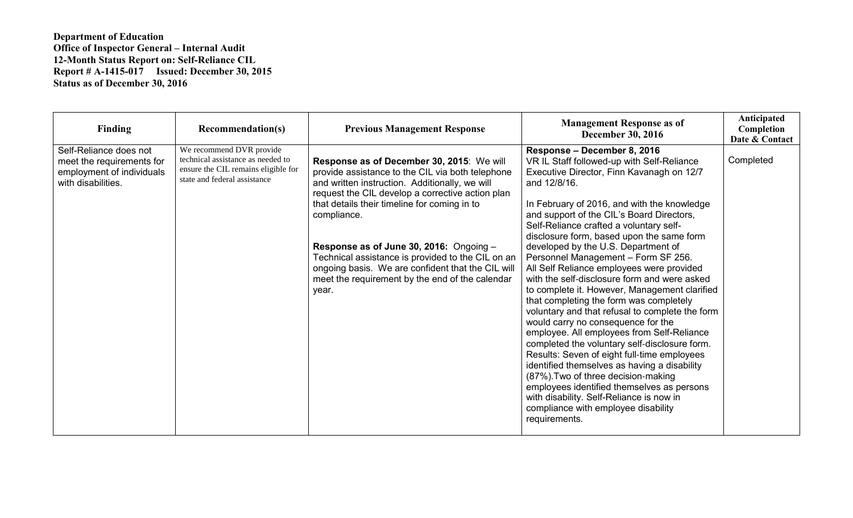## **Department of Education Office of Inspector General – Internal Audit 12-Month Status Report on: Self-Reliance CIL Report # A-1415-017 Issued: December 30, 2015 Status as of December 30, 2016**

| Finding                                                                                                | <b>Recommendation(s)</b>                                                                                                             | <b>Previous Management Response</b>                                                                                                                                                                                                                                                                                                                                                                                                                                                 | <b>Management Response as of</b><br><b>December 30, 2016</b>                                                                                                                                                                                                                                                                                                                                                                                                                                                                                                                                                                                                                                                                                                                                                                                                                                                                                                                                                                                                                      | Anticipated<br>Completion<br>Date & Contact |
|--------------------------------------------------------------------------------------------------------|--------------------------------------------------------------------------------------------------------------------------------------|-------------------------------------------------------------------------------------------------------------------------------------------------------------------------------------------------------------------------------------------------------------------------------------------------------------------------------------------------------------------------------------------------------------------------------------------------------------------------------------|-----------------------------------------------------------------------------------------------------------------------------------------------------------------------------------------------------------------------------------------------------------------------------------------------------------------------------------------------------------------------------------------------------------------------------------------------------------------------------------------------------------------------------------------------------------------------------------------------------------------------------------------------------------------------------------------------------------------------------------------------------------------------------------------------------------------------------------------------------------------------------------------------------------------------------------------------------------------------------------------------------------------------------------------------------------------------------------|---------------------------------------------|
| Self-Reliance does not<br>meet the requirements for<br>employment of individuals<br>with disabilities. | We recommend DVR provide<br>technical assistance as needed to<br>ensure the CIL remains eligible for<br>state and federal assistance | Response as of December 30, 2015: We will<br>provide assistance to the CIL via both telephone<br>and written instruction. Additionally, we will<br>request the CIL develop a corrective action plan<br>that details their timeline for coming in to<br>compliance.<br>Response as of June 30, 2016: Ongoing -<br>Technical assistance is provided to the CIL on an<br>ongoing basis. We are confident that the CIL will<br>meet the requirement by the end of the calendar<br>year. | Response – December 8, 2016<br>VR IL Staff followed-up with Self-Reliance<br>Executive Director, Finn Kavanagh on 12/7<br>and 12/8/16.<br>In February of 2016, and with the knowledge<br>and support of the CIL's Board Directors,<br>Self-Reliance crafted a voluntary self-<br>disclosure form, based upon the same form<br>developed by the U.S. Department of<br>Personnel Management - Form SF 256.<br>All Self Reliance employees were provided<br>with the self-disclosure form and were asked<br>to complete it. However, Management clarified<br>that completing the form was completely<br>voluntary and that refusal to complete the form<br>would carry no consequence for the<br>employee. All employees from Self-Reliance<br>completed the voluntary self-disclosure form.<br>Results: Seven of eight full-time employees<br>identified themselves as having a disability<br>(87%). Two of three decision-making<br>employees identified themselves as persons<br>with disability. Self-Reliance is now in<br>compliance with employee disability<br>requirements. | Completed                                   |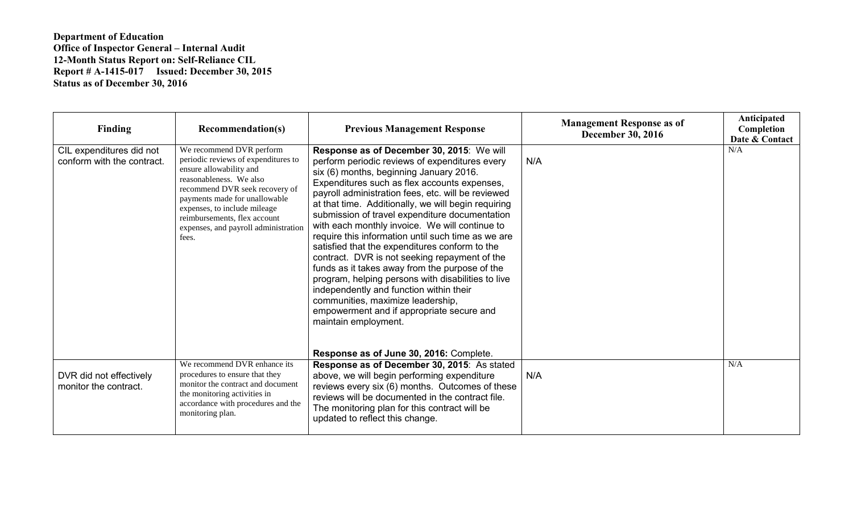## **Department of Education Office of Inspector General – Internal Audit 12-Month Status Report on: Self-Reliance CIL Report # A-1415-017 Issued: December 30, 2015 Status as of December 30, 2016**

| <b>Finding</b>                                         | <b>Recommendation(s)</b>                                                                                                                                                                                                                                                                                  | <b>Previous Management Response</b>                                                                                                                                                                                                                                                                                                                                                                                                                                                                                                                                                                                                                                                                                                                                                                                           | <b>Management Response as of</b><br><b>December 30, 2016</b> | Anticipated<br>Completion<br>Date & Contact |
|--------------------------------------------------------|-----------------------------------------------------------------------------------------------------------------------------------------------------------------------------------------------------------------------------------------------------------------------------------------------------------|-------------------------------------------------------------------------------------------------------------------------------------------------------------------------------------------------------------------------------------------------------------------------------------------------------------------------------------------------------------------------------------------------------------------------------------------------------------------------------------------------------------------------------------------------------------------------------------------------------------------------------------------------------------------------------------------------------------------------------------------------------------------------------------------------------------------------------|--------------------------------------------------------------|---------------------------------------------|
| CIL expenditures did not<br>conform with the contract. | We recommend DVR perform<br>periodic reviews of expenditures to<br>ensure allowability and<br>reasonableness. We also<br>recommend DVR seek recovery of<br>payments made for unallowable<br>expenses, to include mileage<br>reimbursements, flex account<br>expenses, and payroll administration<br>fees. | Response as of December 30, 2015: We will<br>perform periodic reviews of expenditures every<br>six (6) months, beginning January 2016.<br>Expenditures such as flex accounts expenses,<br>payroll administration fees, etc. will be reviewed<br>at that time. Additionally, we will begin requiring<br>submission of travel expenditure documentation<br>with each monthly invoice. We will continue to<br>require this information until such time as we are<br>satisfied that the expenditures conform to the<br>contract. DVR is not seeking repayment of the<br>funds as it takes away from the purpose of the<br>program, helping persons with disabilities to live<br>independently and function within their<br>communities, maximize leadership,<br>empowerment and if appropriate secure and<br>maintain employment. | N/A                                                          | N/A                                         |
|                                                        |                                                                                                                                                                                                                                                                                                           | Response as of June 30, 2016: Complete.                                                                                                                                                                                                                                                                                                                                                                                                                                                                                                                                                                                                                                                                                                                                                                                       |                                                              |                                             |
| DVR did not effectively<br>monitor the contract.       | We recommend DVR enhance its<br>procedures to ensure that they<br>monitor the contract and document<br>the monitoring activities in<br>accordance with procedures and the<br>monitoring plan.                                                                                                             | Response as of December 30, 2015: As stated<br>above, we will begin performing expenditure<br>reviews every six (6) months. Outcomes of these<br>reviews will be documented in the contract file.<br>The monitoring plan for this contract will be<br>updated to reflect this change.                                                                                                                                                                                                                                                                                                                                                                                                                                                                                                                                         | N/A                                                          | N/A                                         |